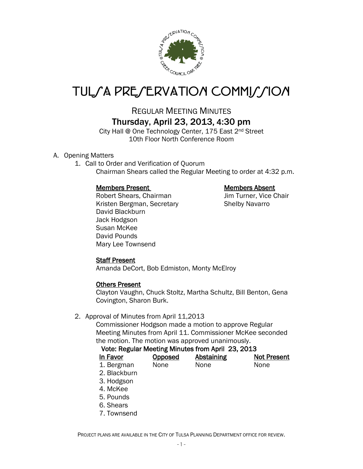

# TUL*SA PRESERVATION COMMISSION*

## REGULAR MEETING MINUTES Thursday, April 23, 2013, 4:30 pm

City Hall @ One Technology Center, 175 East 2<sup>nd</sup> Street 10th Floor North Conference Room

#### A. Opening Matters

1. Call to Order and Verification of Quorum Chairman Shears called the Regular Meeting to order at 4:32 p.m.

#### Members Present Members Absent

Robert Shears, Chairman Jim Turner, Vice Chair Kristen Bergman, Secretary **Shelby Navarro** David Blackburn Jack Hodgson Susan McKee David Pounds Mary Lee Townsend

#### Staff Present

Amanda DeCort, Bob Edmiston, Monty McElroy

#### Others Present

Clayton Vaughn, Chuck Stoltz, Martha Schultz, Bill Benton, Gena Covington, Sharon Burk.

#### 2. Approval of Minutes from April 11,2013

Commissioner Hodgson made a motion to approve Regular Meeting Minutes from April 11. Commissioner McKee seconded the motion. The motion was approved unanimously.

#### Vote: Regular Meeting Minutes from April 23, 2013

| In Favor   | <b>Opposed</b> | <b>Abstaining</b> | <b>Not Present</b> |
|------------|----------------|-------------------|--------------------|
| 1. Bergman | None           | None              | <b>None</b>        |

- 2. Blackburn
- 3. Hodgson
- 4. McKee
- 5. Pounds
- 6. Shears
- 7. Townsend

PROJECT PLANS ARE AVAILABLE IN THE CITY OF TULSA PLANNING DEPARTMENT OFFICE FOR REVIEW.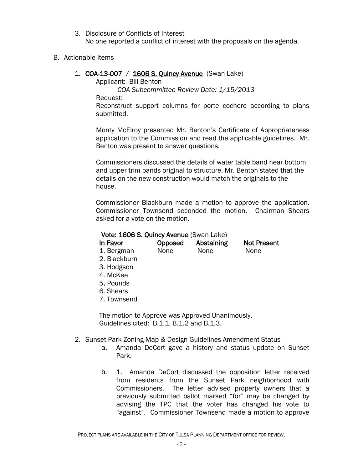3. Disclosure of Conflicts of Interest No one reported a conflict of interest with the proposals on the agenda.

#### B. Actionable Items

#### 1. **COA-13-007** / **1606 S. Quincy Avenue** (Swan Lake)

Applicant: Bill Benton

*COA Subcommittee Review Date: 1/15/2013*

Request:

Reconstruct support columns for porte cochere according to plans submitted.

Monty McElroy presented Mr. Benton's Certificate of Appropriateness application to the Commission and read the applicable guidelines. Mr. Benton was present to answer questions.

Commissioners discussed the details of water table band near bottom and upper trim bands original to structure. Mr. Benton stated that the details on the new construction would match the originals to the house.

Commissioner Blackburn made a motion to approve the application. Commissioner Townsend seconded the motion. Chairman Shears asked for a vote on the motion.

### Vote: 1606 S. Quincy Avenue (Swan Lake)

| In Favor                                        | <u>Opposed</u> | <b>Abstaining</b> | <b>Not Present</b> |
|-------------------------------------------------|----------------|-------------------|--------------------|
| 1. Bergman                                      | None           | None              | None               |
| 2. Blackburn                                    |                |                   |                    |
| 3. Hodgson                                      |                |                   |                    |
| 4. McKee                                        |                |                   |                    |
| 5. Pounds                                       |                |                   |                    |
| 6. Shears                                       |                |                   |                    |
| 7. Townsend                                     |                |                   |                    |
|                                                 |                |                   |                    |
| The motion to Approve was Approved Unanimously. |                |                   |                    |
| Guidelines cited: B.1.1, B.1.2 and B.1.3.       |                |                   |                    |

- 2. Sunset Park Zoning Map & Design Guidelines Amendment Status
	- a. Amanda DeCort gave a history and status update on Sunset Park.
	- b. 1. Amanda DeCort discussed the opposition letter received from residents from the Sunset Park neighborhood with Commissioners. The letter advised property owners that a previously submitted ballot marked "for" may be changed by advising the TPC that the voter has changed his vote to "against". Commissioner Townsend made a motion to approve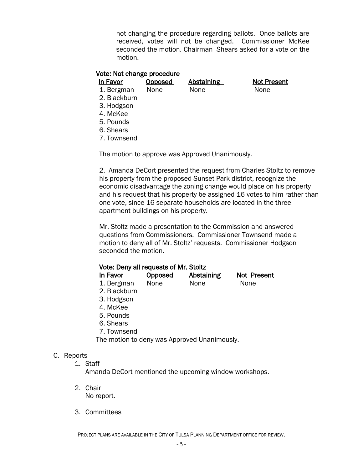not changing the procedure regarding ballots. Once ballots are received, votes will not be changed. Commissioner McKee seconded the motion. Chairman Shears asked for a vote on the motion.

#### Vote: Not change procedure

| In Favor   | Opposed | Abstaining | Not Pr      |
|------------|---------|------------|-------------|
| 1. Bergman | None    | None       | <b>None</b> |

In Favor Conservation Abstaining Not Present

- 2. Blackburn
- 3. Hodgson
- 4. McKee
- 5. Pounds
- 6. Shears
- 7. Townsend

The motion to approve was Approved Unanimously.

2. Amanda DeCort presented the request from Charles Stoltz to remove his property from the proposed Sunset Park district, recognize the economic disadvantage the zoning change would place on his property and his request that his property be assigned 16 votes to him rather than one vote, since 16 separate households are located in the three apartment buildings on his property.

Mr. Stoltz made a presentation to the Commission and answered questions from Commissioners. Commissioner Townsend made a motion to deny all of Mr. Stoltz' requests. Commissioner Hodgson seconded the motion.

|  |  | Vote: Deny all requests of Mr. Stoltz |
|--|--|---------------------------------------|
|--|--|---------------------------------------|

| In Favor     | Opposed | Abstaining | Not Present |
|--------------|---------|------------|-------------|
| 1. Bergman   | None    | None       | <b>None</b> |
| 2. Blackburn |         |            |             |

- 3. Hodgson
- 4. McKee
- 5. Pounds
- 6. Shears
- 7. Townsend

The motion to deny was Approved Unanimously.

#### C. Reports

1. Staff

Amanda DeCort mentioned the upcoming window workshops.

- 2. Chair No report.
- 3. Committees

PROJECT PLANS ARE AVAILABLE IN THE CITY OF TULSA PLANNING DEPARTMENT OFFICE FOR REVIEW.